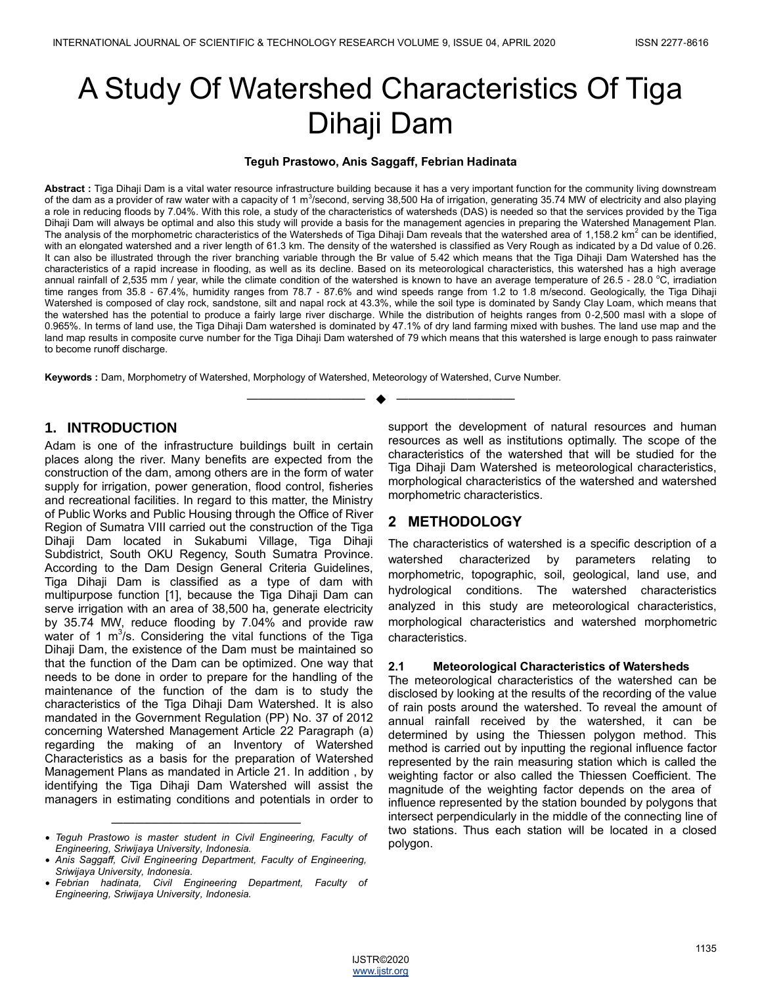# A Study Of Watershed Characteristics Of Tiga Dihaji Dam

### **Teguh Prastowo, Anis Saggaff, Febrian Hadinata**

**Abstract :** Tiga Dihaji Dam is a vital water resource infrastructure building because it has a very important function for the community living downstream of the dam as a provider of raw water with a capacity of 1 m<sup>3</sup>/second, serving 38,500 Ha of irrigation, generating 35.74 MW of electricity and also playing a role in reducing floods by 7.04%. With this role, a study of the characteristics of watersheds (DAS) is needed so that the services provided by the Tiga Dihaji Dam will always be optimal and also this study will provide a basis for the management agencies in preparing the Watershed Management Plan. The analysis of the morphometric characteristics of the Watersheds of Tiga Dihaji Dam reveals that the watershed area of 1,158.2 km<sup>2</sup> can be identified, with an elongated watershed and a river length of 61.3 km. The density of the watershed is classified as Very Rough as indicated by a Dd value of 0.26. It can also be illustrated through the river branching variable through the Br value of 5.42 which means that the Tiga Dihaji Dam Watershed has the characteristics of a rapid increase in flooding, as well as its decline. Based on its meteorological characteristics, this watershed has a high average annual rainfall of 2,535 mm / year, while the climate condition of the watershed is known to have an average temperature of 26.5 - 28.0  $^{\circ}$ C, irradiation time ranges from 35.8 - 67.4%, humidity ranges from 78.7 - 87.6% and wind speeds range from 1.2 to 1.8 m/second. Geologically, the Tiga Dihaji Watershed is composed of clay rock, sandstone, silt and napal rock at 43.3%, while the soil type is dominated by Sandy Clay Loam, which means that the watershed has the potential to produce a fairly large river discharge. While the distribution of heights ranges from 0-2,500 masl with a slope of 0.965%. In terms of land use, the Tiga Dihaji Dam watershed is dominated by 47.1% of dry land farming mixed with bushes. The land use map and the land map results in composite curve number for the Tiga Dihaji Dam watershed of 79 which means that this watershed is large enough to pass rainwater to become runoff discharge.

—————————— ——————————

**Keywords :** Dam, Morphometry of Watershed, Morphology of Watershed, Meteorology of Watershed, Curve Number.

# **1. INTRODUCTION**

Adam is one of the infrastructure buildings built in certain places along the river. Many benefits are expected from the construction of the dam, among others are in the form of water supply for irrigation, power generation, flood control, fisheries and recreational facilities. In regard to this matter, the Ministry of Public Works and Public Housing through the Office of River Region of Sumatra VIII carried out the construction of the Tiga Dihaji Dam located in Sukabumi Village, Tiga Dihaji Subdistrict, South OKU Regency, South Sumatra Province. According to the Dam Design General Criteria Guidelines, Tiga Dihaji Dam is classified as a type of dam with multipurpose function [1], because the Tiga Dihaji Dam can serve irrigation with an area of 38,500 ha, generate electricity by 35.74 MW, reduce flooding by 7.04% and provide raw water of 1  $m^3$ /s. Considering the vital functions of the Tiga Dihaji Dam, the existence of the Dam must be maintained so that the function of the Dam can be optimized. One way that needs to be done in order to prepare for the handling of the maintenance of the function of the dam is to study the characteristics of the Tiga Dihaji Dam Watershed. It is also mandated in the Government Regulation (PP) No. 37 of 2012 concerning Watershed Management Article 22 Paragraph (a) regarding the making of an Inventory of Watershed Characteristics as a basis for the preparation of Watershed Management Plans as mandated in Article 21. In addition , by identifying the Tiga Dihaji Dam Watershed will assist the managers in estimating conditions and potentials in order to

support the development of natural resources and human resources as well as institutions optimally. The scope of the characteristics of the watershed that will be studied for the Tiga Dihaji Dam Watershed is meteorological characteristics, morphological characteristics of the watershed and watershed morphometric characteristics.

# **2 METHODOLOGY**

The characteristics of watershed is a specific description of a watershed characterized by parameters relating to morphometric, topographic, soil, geological, land use, and hydrological conditions. The watershed characteristics analyzed in this study are meteorological characteristics, morphological characteristics and watershed morphometric characteristics.

# **2.1 Meteorological Characteristics of Watersheds**

The meteorological characteristics of the watershed can be disclosed by looking at the results of the recording of the value of rain posts around the watershed. To reveal the amount of annual rainfall received by the watershed, it can be determined by using the Thiessen polygon method. This method is carried out by inputting the regional influence factor represented by the rain measuring station which is called the weighting factor or also called the Thiessen Coefficient. The magnitude of the weighting factor depends on the area of influence represented by the station bounded by polygons that intersect perpendicularly in the middle of the connecting line of two stations. Thus each station will be located in a closed polygon.



<sup>————————————————</sup> *Teguh Prastowo is master student in Civil Engineering, Faculty of Engineering, Sriwijaya University, Indonesia.*

*Anis Saggaff, Civil Engineering Department, Faculty of Engineering, Sriwijaya University, Indonesia.*

*Febrian hadinata, Civil Engineering Department, Faculty of Engineering, Sriwijaya University, Indonesia.*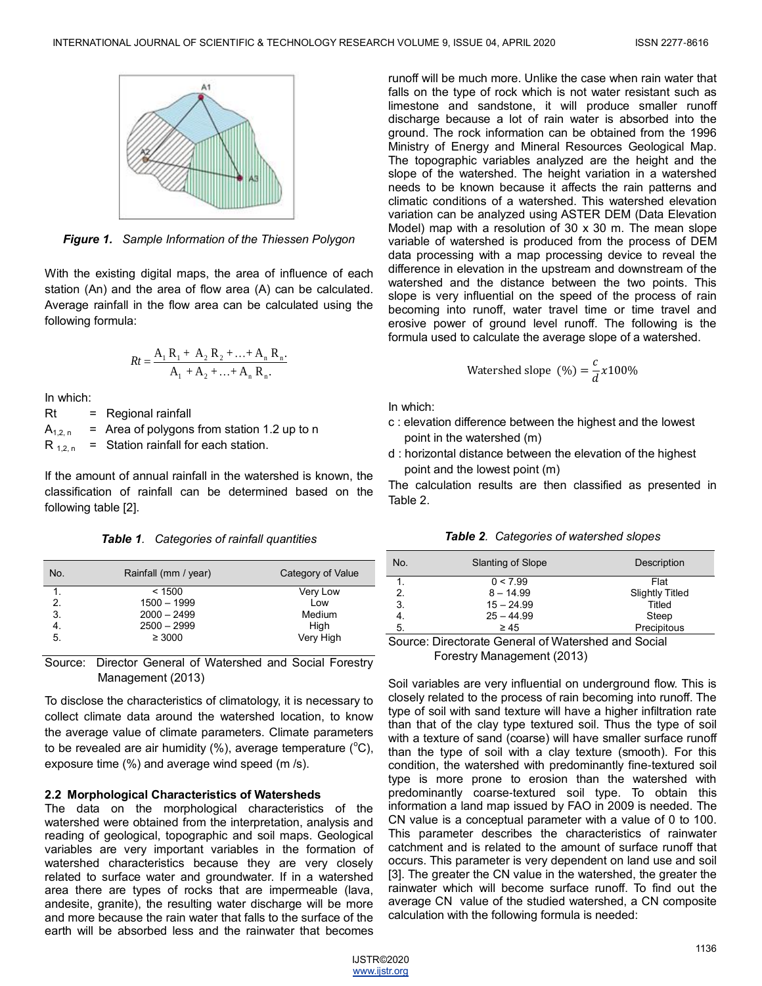

*Figure 1. Sample Information of the Thiessen Polygon*

With the existing digital maps, the area of influence of each station (An) and the area of flow area (A) can be calculated. Average rainfall in the flow area can be calculated using the following formula:

$$
Rt = \frac{A_1 R_1 + A_2 R_2 + \ldots + A_n R_n}{A_1 + A_2 + \ldots + A_n R_n}.
$$

In which:

Rt = Regional rainfall  $A_{1,2,n}$  = Area of polygons from station 1.2 up to n

 $R_{1,2,n}$  = Station rainfall for each station.

If the amount of annual rainfall in the watershed is known, the classification of rainfall can be determined based on the following table [2].

*Table 1. Categories of rainfall quantities*

| No. | Rainfall (mm / year) | Category of Value |
|-----|----------------------|-------------------|
| 1.  | < 1500               | Very Low          |
| 2.  | $1500 - 1999$        | Low               |
| 3.  | $2000 - 2499$        | Medium            |
| 4.  | $2500 - 2999$        | High              |
| 5.  | $\geq 3000$          | Very High         |

Source: Director General of Watershed and Social Forestry Management (2013)

To disclose the characteristics of climatology, it is necessary to collect climate data around the watershed location, to know the average value of climate parameters. Climate parameters to be revealed are air humidity  $(\%)$ , average temperature  $(^{\circ}C)$ , exposure time (%) and average wind speed (m /s).

# **2.2 Morphological Characteristics of Watersheds**

The data on the morphological characteristics of the watershed were obtained from the interpretation, analysis and reading of geological, topographic and soil maps. Geological variables are very important variables in the formation of watershed characteristics because they are very closely related to surface water and groundwater. If in a watershed area there are types of rocks that are impermeable (lava, andesite, granite), the resulting water discharge will be more and more because the rain water that falls to the surface of the earth will be absorbed less and the rainwater that becomes

runoff will be much more. Unlike the case when rain water that falls on the type of rock which is not water resistant such as limestone and sandstone, it will produce smaller runoff discharge because a lot of rain water is absorbed into the ground. The rock information can be obtained from the 1996 Ministry of Energy and Mineral Resources Geological Map. The topographic variables analyzed are the height and the slope of the watershed. The height variation in a watershed needs to be known because it affects the rain patterns and climatic conditions of a watershed. This watershed elevation variation can be analyzed using ASTER DEM (Data Elevation Model) map with a resolution of 30 x 30 m. The mean slope variable of watershed is produced from the process of DEM data processing with a map processing device to reveal the difference in elevation in the upstream and downstream of the watershed and the distance between the two points. This slope is very influential on the speed of the process of rain becoming into runoff, water travel time or time travel and erosive power of ground level runoff. The following is the formula used to calculate the average slope of a watershed.

Watershed slope (
$$
\%
$$
) =  $\frac{c}{d} \times 100\%$ 

In which:

- c : elevation difference between the highest and the lowest point in the watershed (m)
- d : horizontal distance between the elevation of the highest point and the lowest point (m)

The calculation results are then classified as presented in Table 2.

*Table 2. Categories of watershed slopes*

| No. | Slanting of Slope | Description            |
|-----|-------------------|------------------------|
|     | 0 < 7.99          | Flat                   |
| 2.  | $8 - 14.99$       | <b>Slightly Titled</b> |
| 3.  | $15 - 24.99$      | Titled                 |
| 4.  | $25 - 44.99$      | Steep                  |
| 5.  | $\geq 45$         | Precipitous            |

Source: Directorate General of Watershed and Social Forestry Management (2013)

Soil variables are very influential on underground flow. This is closely related to the process of rain becoming into runoff. The type of soil with sand texture will have a higher infiltration rate than that of the clay type textured soil. Thus the type of soil with a texture of sand (coarse) will have smaller surface runoff than the type of soil with a clay texture (smooth). For this condition, the watershed with predominantly fine-textured soil type is more prone to erosion than the watershed with predominantly coarse-textured soil type. To obtain this information a land map issued by FAO in 2009 is needed. The CN value is a conceptual parameter with a value of 0 to 100. This parameter describes the characteristics of rainwater catchment and is related to the amount of surface runoff that occurs. This parameter is very dependent on land use and soil [3]. The greater the CN value in the watershed, the greater the rainwater which will become surface runoff. To find out the average CN value of the studied watershed, a CN composite calculation with the following formula is needed:

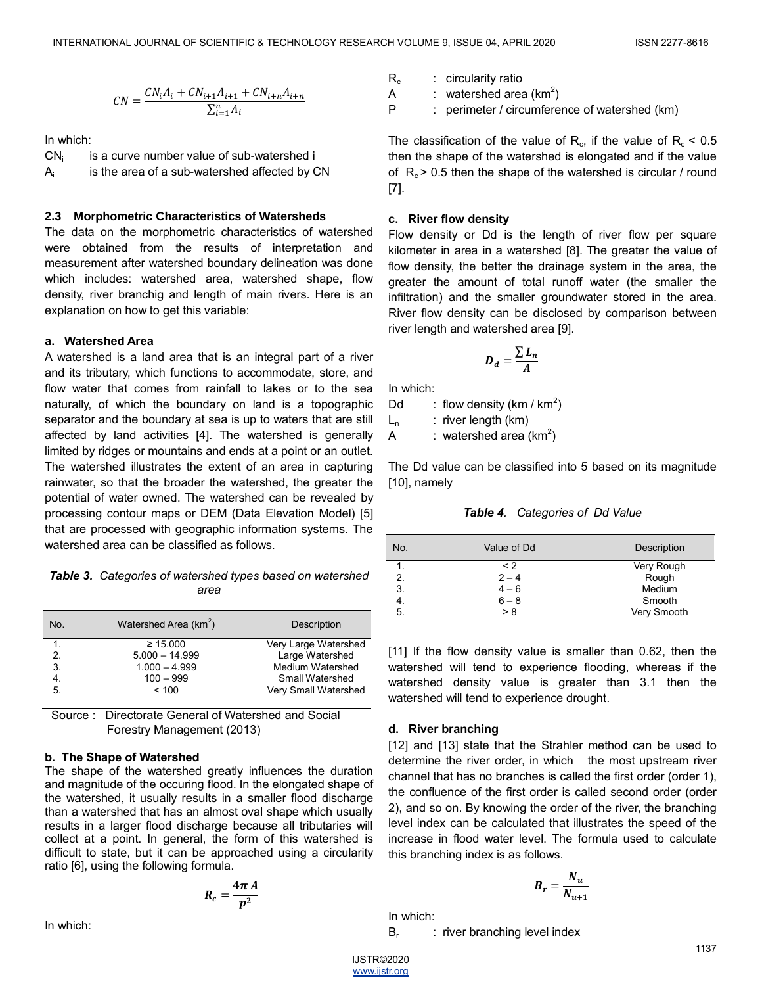$$
CN = \frac{CN_iA_i + CN_{i+1}A_{i+1} + CN_{i+n}A_{i+n}}{\sum_{i=1}^{n} A_i}
$$

In which:

CN<sub>i</sub> is a curve number value of sub-watershed i Ai is the area of a sub-watershed affected by CN

#### **2.3 Morphometric Characteristics of Watersheds**

The data on the morphometric characteristics of watershed were obtained from the results of interpretation and measurement after watershed boundary delineation was done which includes: watershed area, watershed shape, flow density, river branchig and length of main rivers. Here is an explanation on how to get this variable:

#### **a. Watershed Area**

A watershed is a land area that is an integral part of a river and its tributary, which functions to accommodate, store, and flow water that comes from rainfall to lakes or to the sea naturally, of which the boundary on land is a topographic separator and the boundary at sea is up to waters that are still affected by land activities [4]. The watershed is generally limited by ridges or mountains and ends at a point or an outlet. The watershed illustrates the extent of an area in capturing rainwater, so that the broader the watershed, the greater the potential of water owned. The watershed can be revealed by processing contour maps or DEM (Data Elevation Model) [5] that are processed with geographic information systems. The watershed area can be classified as follows.

*Table 3. Categories of watershed types based on watershed area*

| No. | Watershed Area (km <sup>2</sup> ) | Description             |
|-----|-----------------------------------|-------------------------|
| 1.  | $\geq 15.000$                     | Very Large Watershed    |
| 2.  | $5.000 - 14.999$                  | Large Watershed         |
| 3.  | $1.000 - 4.999$                   | <b>Medium Watershed</b> |
| 4.  | $100 - 999$                       | Small Watershed         |
| 5.  | < 100                             | Very Small Watershed    |

 Source : Directorate General of Watershed and Social Forestry Management (2013)

#### **b. The Shape of Watershed**

The shape of the watershed greatly influences the duration and magnitude of the occuring flood. In the elongated shape of the watershed, it usually results in a smaller flood discharge than a watershed that has an almost oval shape which usually results in a larger flood discharge because all tributaries will collect at a point. In general, the form of this watershed is difficult to state, but it can be approached using a circularity ratio [6], using the following formula.

$$
R_c=\frac{4\pi A}{p^2}
$$

In which:

 $R_c$ : circularity ratio A : watershed area (km<sup>2</sup>)

P : perimeter / circumference of watershed (km)

The classification of the value of  $R_c$ , if the value of  $R_c < 0.5$ then the shape of the watershed is elongated and if the value of  $R_c$  > 0.5 then the shape of the watershed is circular / round [7].

#### **c. River flow density**

Flow density or Dd is the length of river flow per square kilometer in area in a watershed [8]. The greater the value of flow density, the better the drainage system in the area, the greater the amount of total runoff water (the smaller the infiltration) and the smaller groundwater stored in the area. River flow density can be disclosed by comparison between river length and watershed area [9].

$$
D_d = \frac{\sum L_n}{A}
$$

In which:

Dd : flow density (km / km $^2$ )

 $L_n$  : river length (km)

A : watershed area (km<sup>2</sup>)

The Dd value can be classified into 5 based on its magnitude [10], namely

*Table 4. Categories of Dd Value*

| No. | Value of Dd | Description |
|-----|-------------|-------------|
|     | $\leq$ 2    | Very Rough  |
| 2.  | $2 - 4$     | Rough       |
| 3.  | $4 - 6$     | Medium      |
| 4.  | $6 - 8$     | Smooth      |
| 5.  | > 8         | Very Smooth |

[11] If the flow density value is smaller than 0.62, then the watershed will tend to experience flooding, whereas if the watershed density value is greater than 3.1 then the watershed will tend to experience drought.

#### **d. River branching**

[12] and [13] state that the Strahler method can be used to determine the river order, in which the most upstream river channel that has no branches is called the first order (order 1), the confluence of the first order is called second order (order 2), and so on. By knowing the order of the river, the branching level index can be calculated that illustrates the speed of the increase in flood water level. The formula used to calculate this branching index is as follows.

$$
B_r = \frac{N_u}{N_{u+1}}
$$

In which:

 $B_r$ : river branching level index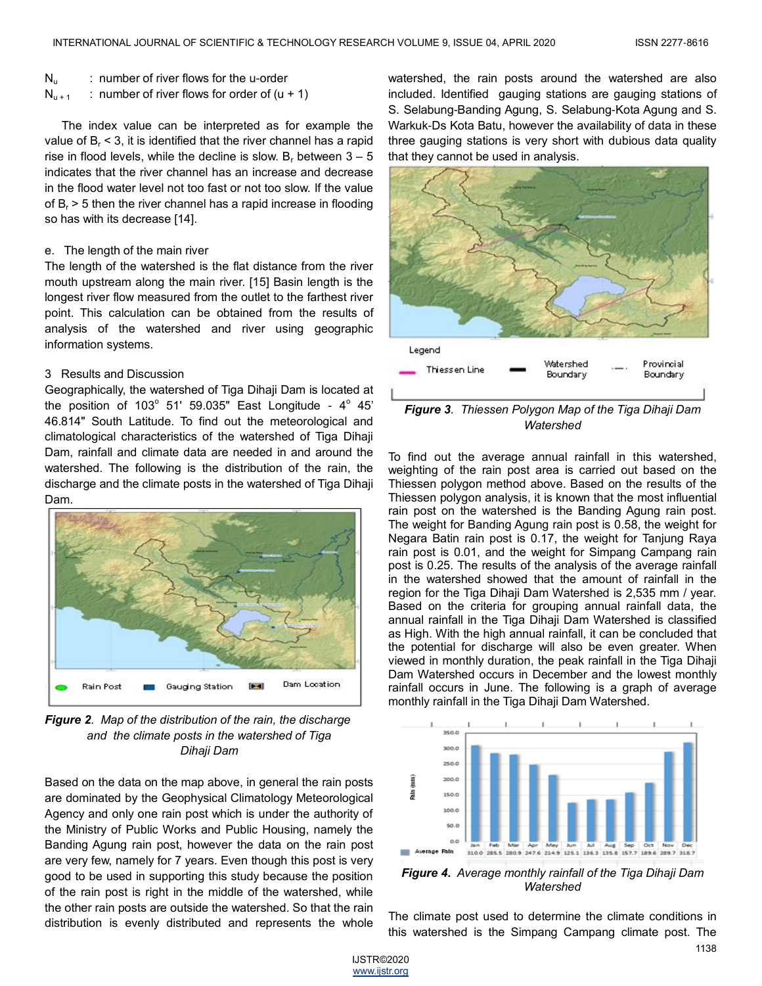- $N_{\text{u}}$  : number of river flows for the u-order
- $N_{u+1}$  : number of river flows for order of  $(u + 1)$

The index value can be interpreted as for example the value of  $B<sub>r</sub> < 3$ , it is identified that the river channel has a rapid rise in flood levels, while the decline is slow.  $B_r$  between  $3 - 5$ indicates that the river channel has an increase and decrease in the flood water level not too fast or not too slow. If the value of  $B<sub>r</sub>$  > 5 then the river channel has a rapid increase in flooding so has with its decrease [14].

#### e. The length of the main river

The length of the watershed is the flat distance from the river mouth upstream along the main river. [15] Basin length is the longest river flow measured from the outlet to the farthest river point. This calculation can be obtained from the results of analysis of the watershed and river using geographic information systems.

#### 3 Results and Discussion

Geographically, the watershed of Tiga Dihaji Dam is located at the position of  $103^\circ$  51' 59.035" East Longitude -  $4^\circ$  45' 46.814" South Latitude. To find out the meteorological and climatological characteristics of the watershed of Tiga Dihaji Dam, rainfall and climate data are needed in and around the watershed. The following is the distribution of the rain, the discharge and the climate posts in the watershed of Tiga Dihaji Dam.



*Figure 2. Map of the distribution of the rain, the discharge and the climate posts in the watershed of Tiga Dihaji Dam*

Based on the data on the map above, in general the rain posts are dominated by the Geophysical Climatology Meteorological Agency and only one rain post which is under the authority of the Ministry of Public Works and Public Housing, namely the Banding Agung rain post, however the data on the rain post are very few, namely for 7 years. Even though this post is very good to be used in supporting this study because the position of the rain post is right in the middle of the watershed, while the other rain posts are outside the watershed. So that the rain distribution is evenly distributed and represents the whole

watershed, the rain posts around the watershed are also included. Identified gauging stations are gauging stations of S. Selabung-Banding Agung, S. Selabung-Kota Agung and S. Warkuk-Ds Kota Batu, however the availability of data in these three gauging stations is very short with dubious data quality that they cannot be used in analysis.



*Watershed*

To find out the average annual rainfall in this watershed, weighting of the rain post area is carried out based on the Thiessen polygon method above. Based on the results of the Thiessen polygon analysis, it is known that the most influential rain post on the watershed is the Banding Agung rain post. The weight for Banding Agung rain post is 0.58, the weight for Negara Batin rain post is 0.17, the weight for Tanjung Raya rain post is 0.01, and the weight for Simpang Campang rain post is 0.25. The results of the analysis of the average rainfall in the watershed showed that the amount of rainfall in the region for the Tiga Dihaji Dam Watershed is 2,535 mm / year. Based on the criteria for grouping annual rainfall data, the annual rainfall in the Tiga Dihaji Dam Watershed is classified as High. With the high annual rainfall, it can be concluded that the potential for discharge will also be even greater. When viewed in monthly duration, the peak rainfall in the Tiga Dihaji Dam Watershed occurs in December and the lowest monthly rainfall occurs in June. The following is a graph of average monthly rainfall in the Tiga Dihaji Dam Watershed.



*Figure 4. Average monthly rainfall of the Tiga Dihaji Dam Watershed*

The climate post used to determine the climate conditions in this watershed is the Simpang Campang climate post. The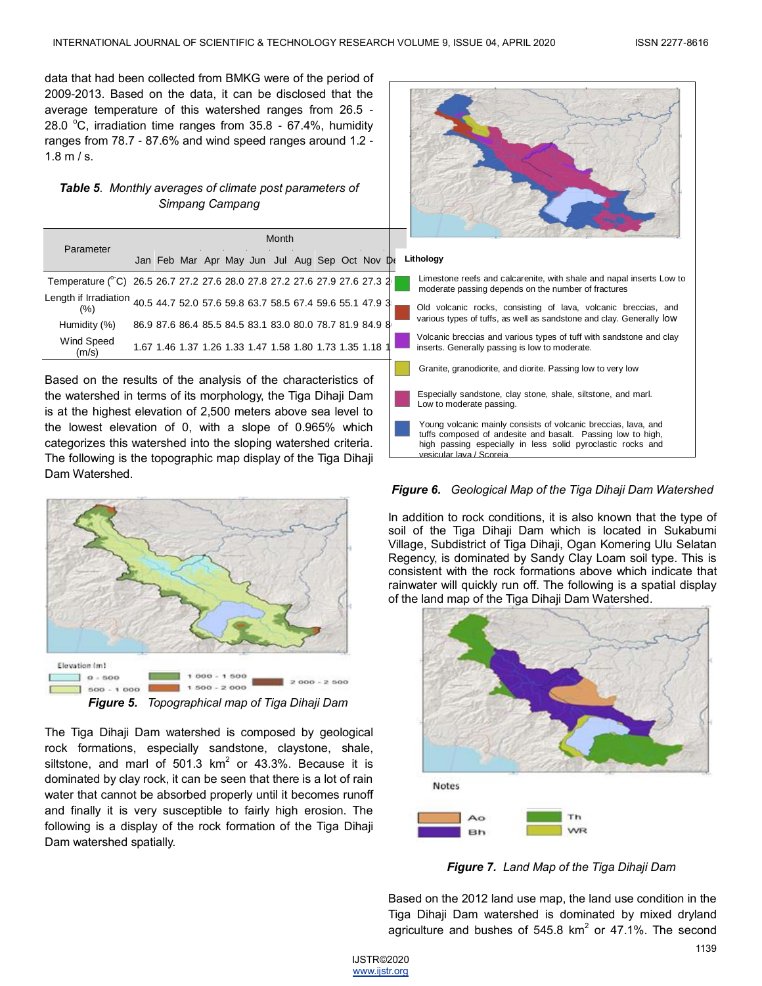data that had been collected from BMKG were of the period of 2009-2013. Based on the data, it can be disclosed that the average temperature of this watershed ranges from 26.5 - 28.0  $\degree$ C, irradiation time ranges from 35.8 - 67.4%, humidity ranges from 78.7 - 87.6% and wind speed ranges around 1.2 -  $1.8 \text{ m/s}$ .

# *Table 5. Monthly averages of climate post parameters of Simpang Campang*

| Simpang Campang                                                |                                                                                |  |                                                                                                                             |  |
|----------------------------------------------------------------|--------------------------------------------------------------------------------|--|-----------------------------------------------------------------------------------------------------------------------------|--|
|                                                                | Month                                                                          |  |                                                                                                                             |  |
| Parameter                                                      | Jan Feb Mar Apr May Jun Jul Aug Sep Oct Nov De                                 |  | Lithology                                                                                                                   |  |
|                                                                | Temperature (°C) 26.5 26.7 27.2 27.6 28.0 27.8 27.2 27.6 27.9 27.6 27.3 2      |  | Limestone reefs and calcarenite, with shale and napal inserts Low to<br>moderate passing depends on the number of fractures |  |
| (%)                                                            | Length if Irradiation 40.5 44.7 52.0 57.6 59.8 63.7 58.5 67.4 59.6 55.1 47.9 3 |  | Old volcanic rocks, consisting of lava, volcanic breccias, and                                                              |  |
| Humidity (%)                                                   | 86.9 87.6 86.4 85.5 84.5 83.1 83.0 80.0 78.7 81.9 84.9 8                       |  | various types of tuffs, as well as sandstone and clay. Generally low                                                        |  |
| Wind Speed<br>(m/s)                                            | 1.67 1.46 1.37 1.26 1.33 1.47 1.58 1.80 1.73 1.35 1.18                         |  | Volcanic breccias and various types of tuff with sandstone and clay<br>inserts. Generally passing is low to moderate.       |  |
| Based on the results of the analysis of the characteristics of |                                                                                |  | Granite, granodiorite, and diorite. Passing low to very low                                                                 |  |

the watershed in terms of its morphology, the Tiga Dihaji Dam is at the highest elevation of 2,500 meters above sea level to the lowest elevation of 0, with a slope of 0.965% which categorizes this watershed into the sloping watershed criteria. The following is the topographic map display of the Tiga Dihaji Dam Watershed.



The Tiga Dihaji Dam watershed is composed by geological rock formations, especially sandstone, claystone, shale, siltstone, and marl of 501.3  $km^2$  or 43.3%. Because it is dominated by clay rock, it can be seen that there is a lot of rain water that cannot be absorbed properly until it becomes runoff and finally it is very susceptible to fairly high erosion. The following is a display of the rock formation of the Tiga Dihaji Dam watershed spatially.

# Especially sandstone, clay stone, shale, siltstone, and marl. Low to moderate passing. Young volcanic mainly consists of volcanic breccias, lava, and tuffs composed of andesite and basalt. Passing low to high,

# *Figure 6. Geological Map of the Tiga Dihaji Dam Watershed*

high passing especially in less solid pyroclastic rocks and

.<br>ular lava / Scoreia

In addition to rock conditions, it is also known that the type of soil of the Tiga Dihaji Dam which is located in Sukabumi Village, Subdistrict of Tiga Dihaji, Ogan Komering Ulu Selatan Regency, is dominated by Sandy Clay Loam soil type. This is consistent with the rock formations above which indicate that rainwater will quickly run off. The following is a spatial display of the land map of the Tiga Dihaji Dam Watershed.



*Figure 7. Land Map of the Tiga Dihaji Dam*

Based on the 2012 land use map, the land use condition in the Tiga Dihaji Dam watershed is dominated by mixed dryland agriculture and bushes of 545.8  $km^2$  or 47.1%. The second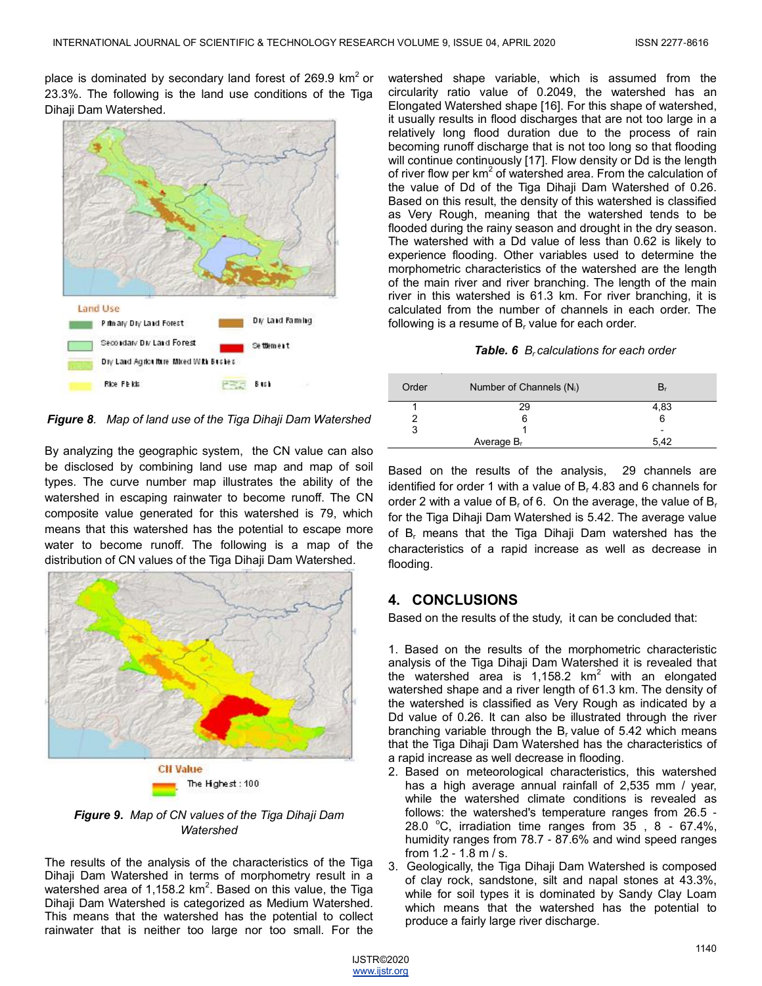place is dominated by secondary land forest of 269.9  $km^2$  or 23.3%. The following is the land use conditions of the Tiga Dihaji Dam Watershed.



*Figure 8. Map of land use of the Tiga Dihaji Dam Watershed* 

By analyzing the geographic system, the CN value can also be disclosed by combining land use map and map of soil types. The curve number map illustrates the ability of the watershed in escaping rainwater to become runoff. The CN composite value generated for this watershed is 79, which means that this watershed has the potential to escape more water to become runoff. The following is a map of the distribution of CN values of the Tiga Dihaji Dam Watershed.



*Figure 9. Map of CN values of the Tiga Dihaji Dam Watershed*

The results of the analysis of the characteristics of the Tiga Dihaji Dam Watershed in terms of morphometry result in a watershed area of 1,158.2 km<sup>2</sup>. Based on this value, the Tiga Dihaji Dam Watershed is categorized as Medium Watershed. This means that the watershed has the potential to collect rainwater that is neither too large nor too small. For the

watershed shape variable, which is assumed from the circularity ratio value of 0.2049, the watershed has an Elongated Watershed shape [16]. For this shape of watershed, it usually results in flood discharges that are not too large in a relatively long flood duration due to the process of rain becoming runoff discharge that is not too long so that flooding will continue continuously [17]. Flow density or Dd is the length of river flow per km<sup>2</sup> of watershed area. From the calculation of the value of Dd of the Tiga Dihaji Dam Watershed of 0.26. Based on this result, the density of this watershed is classified as Very Rough, meaning that the watershed tends to be flooded during the rainy season and drought in the dry season. The watershed with a Dd value of less than 0.62 is likely to experience flooding. Other variables used to determine the morphometric characteristics of the watershed are the length of the main river and river branching. The length of the main river in this watershed is 61.3 km. For river branching, it is calculated from the number of channels in each order. The following is a resume of  $B<sub>r</sub>$  value for each order.

#### *Table. 6 Br calculations for each order*

| Order | Number of Channels $(N_i)$ |      |
|-------|----------------------------|------|
|       | 29                         | 4,83 |
|       | 6                          | 6    |
| 3     |                            | ۰    |
|       | Average $B_r$              | 5,42 |

Based on the results of the analysis, 29 channels are identified for order 1 with a value of B, 4.83 and 6 channels for order 2 with a value of  $B_r$  of 6. On the average, the value of  $B_r$ for the Tiga Dihaji Dam Watershed is 5.42. The average value of  $B_r$  means that the Tiga Dihaji Dam watershed has the characteristics of a rapid increase as well as decrease in flooding.

# **4. CONCLUSIONS**

Based on the results of the study, it can be concluded that:

1. Based on the results of the morphometric characteristic analysis of the Tiga Dihaji Dam Watershed it is revealed that the watershed area is  $1,158.2$  km<sup>2</sup> with an elongated watershed shape and a river length of 61.3 km. The density of the watershed is classified as Very Rough as indicated by a Dd value of 0.26. It can also be illustrated through the river branching variable through the  $B<sub>r</sub>$  value of 5.42 which means that the Tiga Dihaji Dam Watershed has the characteristics of a rapid increase as well decrease in flooding.

- 2. Based on meteorological characteristics, this watershed has a high average annual rainfall of 2,535 mm / year, while the watershed climate conditions is revealed as follows: the watershed's temperature ranges from 26.5 - 28.0  $\degree$ C, irradiation time ranges from 35, 8 - 67.4%, humidity ranges from 78.7 - 87.6% and wind speed ranges from 1.2 - 1.8 m / s.
- 3. Geologically, the Tiga Dihaji Dam Watershed is composed of clay rock, sandstone, silt and napal stones at 43.3%, while for soil types it is dominated by Sandy Clay Loam which means that the watershed has the potential to produce a fairly large river discharge.